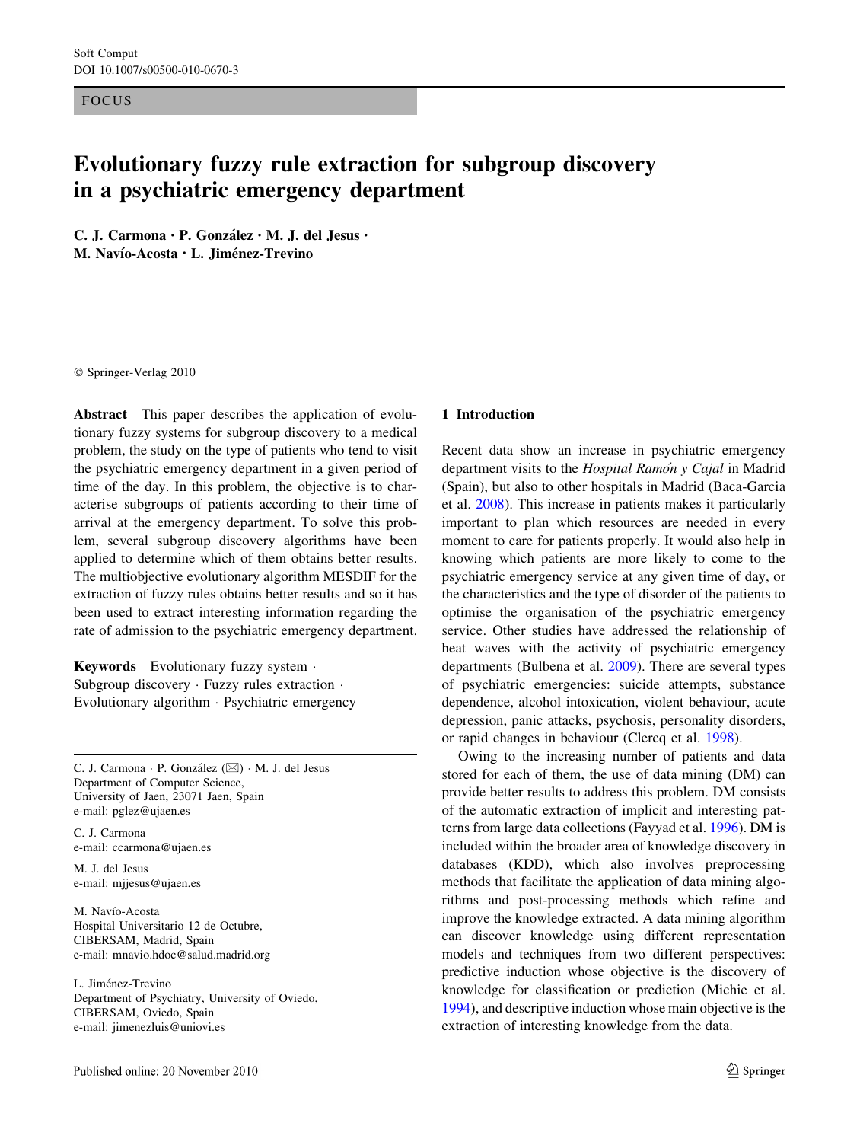FOCUS

# Evolutionary fuzzy rule extraction for subgroup discovery in a psychiatric emergency department

C. J. Carmona · P. González · M. J. del Jesus · M. Navío-Acosta • L. Jiménez-Trevino

© Springer-Verlag 2010

Abstract This paper describes the application of evolutionary fuzzy systems for subgroup discovery to a medical problem, the study on the type of patients who tend to visit the psychiatric emergency department in a given period of time of the day. In this problem, the objective is to characterise subgroups of patients according to their time of arrival at the emergency department. To solve this problem, several subgroup discovery algorithms have been applied to determine which of them obtains better results. The multiobjective evolutionary algorithm MESDIF for the extraction of fuzzy rules obtains better results and so it has been used to extract interesting information regarding the rate of admission to the psychiatric emergency department.

Keywords Evolutionary fuzzy system . Subgroup discovery - Fuzzy rules extraction - Evolutionary algorithm - Psychiatric emergency

C. J. Carmona · P. González (⊠) · M. J. del Jesus Department of Computer Science, University of Jaen, 23071 Jaen, Spain e-mail: pglez@ujaen.es

C. J. Carmona e-mail: ccarmona@ujaen.es

M. J. del Jesus e-mail: mjjesus@ujaen.es

M. Navío-Acosta Hospital Universitario 12 de Octubre, CIBERSAM, Madrid, Spain e-mail: mnavio.hdoc@salud.madrid.org

L. Jiménez-Trevino Department of Psychiatry, University of Oviedo, CIBERSAM, Oviedo, Spain e-mail: jimenezluis@uniovi.es

#### 1 Introduction

Recent data show an increase in psychiatric emergency department visits to the Hospital Ramón y Cajal in Madrid (Spain), but also to other hospitals in Madrid (Baca-Garcia et al. [2008\)](#page-12-0). This increase in patients makes it particularly important to plan which resources are needed in every moment to care for patients properly. It would also help in knowing which patients are more likely to come to the psychiatric emergency service at any given time of day, or the characteristics and the type of disorder of the patients to optimise the organisation of the psychiatric emergency service. Other studies have addressed the relationship of heat waves with the activity of psychiatric emergency departments (Bulbena et al. [2009](#page-12-0)). There are several types of psychiatric emergencies: suicide attempts, substance dependence, alcohol intoxication, violent behaviour, acute depression, panic attacks, psychosis, personality disorders, or rapid changes in behaviour (Clercq et al. [1998\)](#page-12-0).

Owing to the increasing number of patients and data stored for each of them, the use of data mining (DM) can provide better results to address this problem. DM consists of the automatic extraction of implicit and interesting patterns from large data collections (Fayyad et al. [1996\)](#page-12-0). DM is included within the broader area of knowledge discovery in databases (KDD), which also involves preprocessing methods that facilitate the application of data mining algorithms and post-processing methods which refine and improve the knowledge extracted. A data mining algorithm can discover knowledge using different representation models and techniques from two different perspectives: predictive induction whose objective is the discovery of knowledge for classification or prediction (Michie et al. [1994](#page-13-0)), and descriptive induction whose main objective is the extraction of interesting knowledge from the data.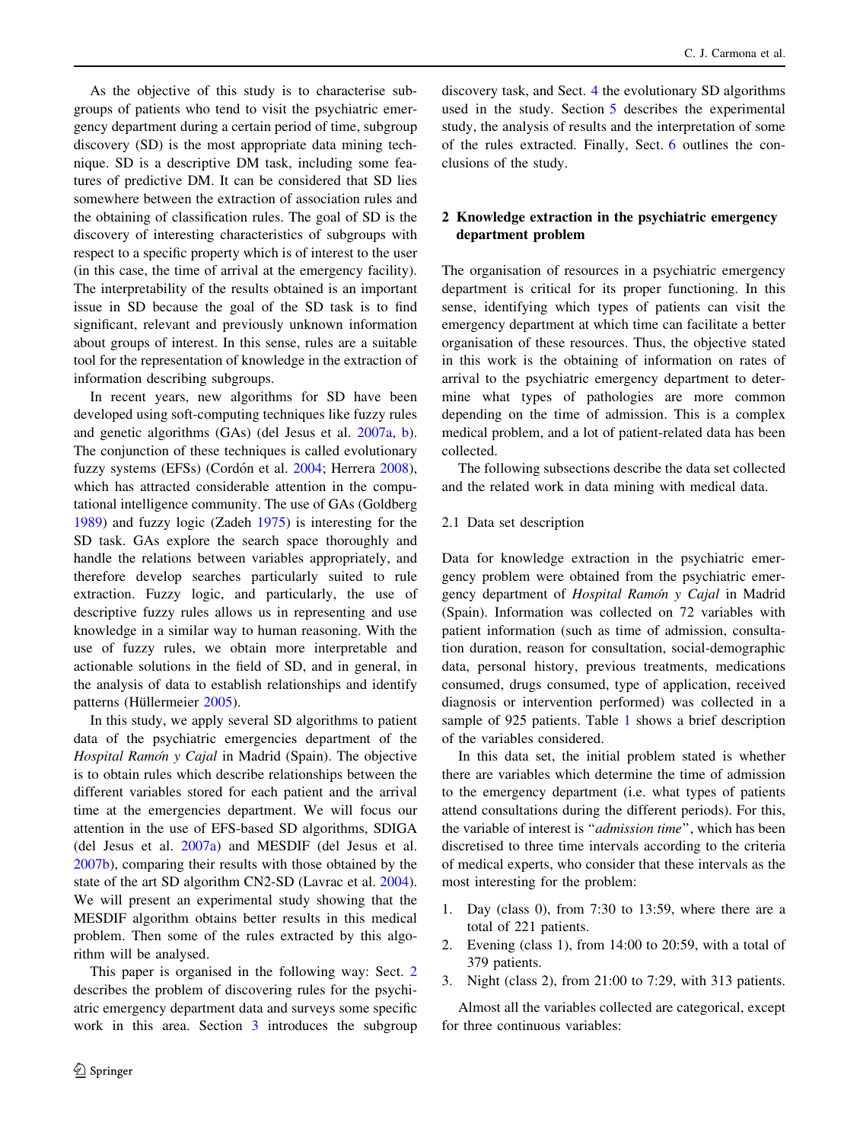<span id="page-1-0"></span>As the objective of this study is to characterise subgroups of patients who tend to visit the psychiatric emergency department during a certain period of time, subgroup discovery (SD) is the most appropriate data mining technique. SD is a descriptive DM task, including some features of predictive DM. It can be considered that SD lies somewhere between the extraction of association rules and the obtaining of classification rules. The goal of SD is the discovery of interesting characteristics of subgroups with respect to a specific property which is of interest to the user (in this case, the time of arrival at the emergency facility). The interpretability of the results obtained is an important issue in SD because the goal of the SD task is to find significant, relevant and previously unknown information about groups of interest. In this sense, rules are a suitable tool for the representation of knowledge in the extraction of information describing subgroups.

In recent years, new algorithms for SD have been developed using soft-computing techniques like fuzzy rules and genetic algorithms (GAs) (del Jesus et al. [2007a,](#page-12-0) [b](#page-12-0)). The conjunction of these techniques is called evolutionary fuzzy systems (EFSs) (Cordón et al. [2004](#page-12-0); Herrera [2008](#page-13-0)), which has attracted considerable attention in the computational intelligence community. The use of GAs (Goldberg [1989\)](#page-12-0) and fuzzy logic (Zadeh [1975](#page-13-0)) is interesting for the SD task. GAs explore the search space thoroughly and handle the relations between variables appropriately, and therefore develop searches particularly suited to rule extraction. Fuzzy logic, and particularly, the use of descriptive fuzzy rules allows us in representing and use knowledge in a similar way to human reasoning. With the use of fuzzy rules, we obtain more interpretable and actionable solutions in the field of SD, and in general, in the analysis of data to establish relationships and identify patterns (Hüllermeier [2005](#page-13-0)).

In this study, we apply several SD algorithms to patient data of the psychiatric emergencies department of the Hospital Ramón y Cajal in Madrid (Spain). The objective is to obtain rules which describe relationships between the different variables stored for each patient and the arrival time at the emergencies department. We will focus our attention in the use of EFS-based SD algorithms, SDIGA (del Jesus et al. [2007a\)](#page-12-0) and MESDIF (del Jesus et al. [2007b\)](#page-12-0), comparing their results with those obtained by the state of the art SD algorithm CN2-SD (Lavrac et al. [2004](#page-13-0)). We will present an experimental study showing that the MESDIF algorithm obtains better results in this medical problem. Then some of the rules extracted by this algorithm will be analysed.

This paper is organised in the following way: Sect. 2 describes the problem of discovering rules for the psychiatric emergency department data and surveys some specific work in this area. Section 3 introduces the subgroup discovery task, and Sect. [4](#page-5-0) the evolutionary SD algorithms used in the study. Section [5](#page-7-0) describes the experimental study, the analysis of results and the interpretation of some of the rules extracted. Finally, Sect. [6](#page-11-0) outlines the conclusions of the study.

## 2 Knowledge extraction in the psychiatric emergency department problem

The organisation of resources in a psychiatric emergency department is critical for its proper functioning. In this sense, identifying which types of patients can visit the emergency department at which time can facilitate a better organisation of these resources. Thus, the objective stated in this work is the obtaining of information on rates of arrival to the psychiatric emergency department to determine what types of pathologies are more common depending on the time of admission. This is a complex medical problem, and a lot of patient-related data has been collected.

The following subsections describe the data set collected and the related work in data mining with medical data.

#### 2.1 Data set description

Data for knowledge extraction in the psychiatric emergency problem were obtained from the psychiatric emergency department of Hospital Ramón y Cajal in Madrid (Spain). Information was collected on 72 variables with patient information (such as time of admission, consultation duration, reason for consultation, social-demographic data, personal history, previous treatments, medications consumed, drugs consumed, type of application, received diagnosis or intervention performed) was collected in a sample of 925 patients. Table [1](#page-2-0) shows a brief description of the variables considered.

In this data set, the initial problem stated is whether there are variables which determine the time of admission to the emergency department (i.e. what types of patients attend consultations during the different periods). For this, the variable of interest is "admission time", which has been discretised to three time intervals according to the criteria of medical experts, who consider that these intervals as the most interesting for the problem:

- 1. Day (class 0), from 7:30 to 13:59, where there are a total of 221 patients.
- 2. Evening (class 1), from 14:00 to 20:59, with a total of 379 patients.
- 3. Night (class 2), from 21:00 to 7:29, with 313 patients.

Almost all the variables collected are categorical, except for three continuous variables: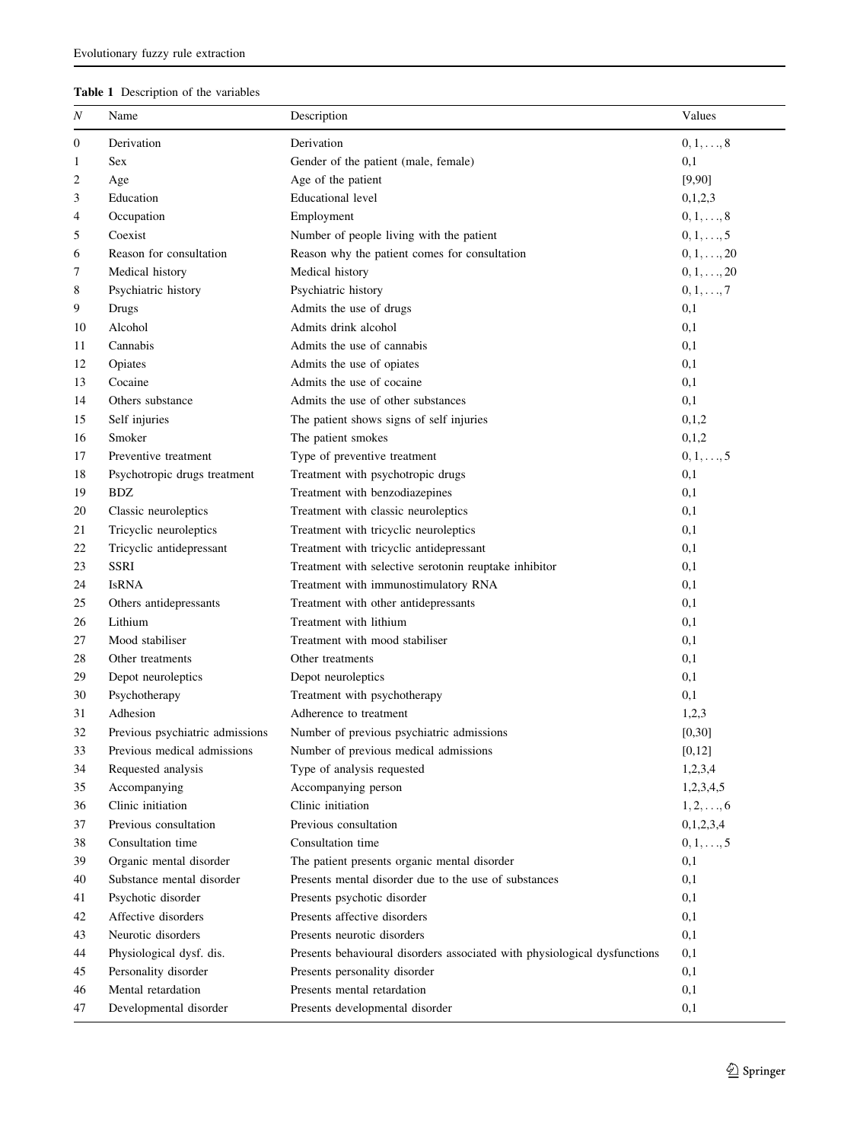## <span id="page-2-0"></span>Table 1 Description of the variables

| Ν                       | Name                            | Description                                                               | Values             |
|-------------------------|---------------------------------|---------------------------------------------------------------------------|--------------------|
| $\mathbf{0}$            | Derivation                      | Derivation                                                                | 0, 1, , 8          |
| 1                       | Sex                             | Gender of the patient (male, female)                                      | 0,1                |
| $\overline{\mathbf{c}}$ | Age                             | Age of the patient                                                        | [9, 90]            |
| 3                       | Education                       | <b>Educational level</b>                                                  | 0,1,2,3            |
| 4                       | Occupation                      | Employment                                                                | 0, 1, , 8          |
| 5                       | Coexist                         | Number of people living with the patient                                  | 0, 1, , 5          |
| 6                       | Reason for consultation         | Reason why the patient comes for consultation                             | $0, 1, \ldots, 20$ |
| 7                       | Medical history                 | Medical history                                                           | $0, 1, \ldots, 20$ |
| 8                       | Psychiatric history             | Psychiatric history                                                       | 0, 1, , 7          |
| 9                       | Drugs                           | Admits the use of drugs                                                   | 0,1                |
| 10                      | Alcohol                         | Admits drink alcohol                                                      | 0,1                |
| 11                      | Cannabis                        | Admits the use of cannabis                                                | 0,1                |
| 12                      | Opiates                         | Admits the use of opiates                                                 | 0,1                |
| 13                      | Cocaine                         | Admits the use of cocaine                                                 | 0,1                |
| 14                      | Others substance                | Admits the use of other substances                                        | 0,1                |
| 15                      | Self injuries                   | The patient shows signs of self injuries                                  | 0,1,2              |
| 16                      | Smoker                          | The patient smokes                                                        | 0,1,2              |
| 17                      | Preventive treatment            | Type of preventive treatment                                              | $0, 1, \ldots, 5$  |
| 18                      | Psychotropic drugs treatment    | Treatment with psychotropic drugs                                         | 0,1                |
| 19                      | <b>BDZ</b>                      | Treatment with benzodiazepines                                            | 0,1                |
| 20                      | Classic neuroleptics            | Treatment with classic neuroleptics                                       | 0,1                |
| 21                      | Tricyclic neuroleptics          | Treatment with tricyclic neuroleptics                                     | 0,1                |
| 22                      | Tricyclic antidepressant        | Treatment with tricyclic antidepressant                                   | 0,1                |
| 23                      | <b>SSRI</b>                     | Treatment with selective serotonin reuptake inhibitor                     | 0,1                |
| 24                      | <b>IsRNA</b>                    | Treatment with immunostimulatory RNA                                      | 0,1                |
| 25                      | Others antidepressants          | Treatment with other antidepressants                                      | 0,1                |
| 26                      | Lithium                         | Treatment with lithium                                                    | 0,1                |
| 27                      | Mood stabiliser                 | Treatment with mood stabiliser                                            | 0,1                |
| 28                      | Other treatments                | Other treatments                                                          | 0,1                |
| 29                      | Depot neuroleptics              | Depot neuroleptics                                                        | 0,1                |
| 30                      | Psychotherapy                   | Treatment with psychotherapy                                              | 0,1                |
| 31                      | Adhesion                        | Adherence to treatment                                                    | 1,2,3              |
| 32                      | Previous psychiatric admissions | Number of previous psychiatric admissions                                 | [0, 30]            |
| 33                      | Previous medical admissions     | Number of previous medical admissions                                     | [0, 12]            |
| 34                      | Requested analysis              | Type of analysis requested                                                | 1,2,3,4            |
| 35                      | Accompanying                    | Accompanying person                                                       | 1,2,3,4,5          |
| 36                      | Clinic initiation               | Clinic initiation                                                         | 1, 2, , 6          |
| 37                      | Previous consultation           | Previous consultation                                                     | 0,1,2,3,4          |
| 38                      | Consultation time               | Consultation time                                                         | 0, 1, , 5          |
| 39                      | Organic mental disorder         | The patient presents organic mental disorder                              | 0,1                |
| 40                      | Substance mental disorder       | Presents mental disorder due to the use of substances                     | 0,1                |
| 41                      | Psychotic disorder              | Presents psychotic disorder                                               | 0,1                |
| 42                      | Affective disorders             | Presents affective disorders                                              | 0,1                |
| 43                      | Neurotic disorders              | Presents neurotic disorders                                               | 0,1                |
| 44                      | Physiological dysf. dis.        | Presents behavioural disorders associated with physiological dysfunctions | 0,1                |
| 45                      | Personality disorder            | Presents personality disorder                                             | 0,1                |
| 46                      | Mental retardation              | Presents mental retardation                                               | 0,1                |
| 47                      | Developmental disorder          | Presents developmental disorder                                           | 0,1                |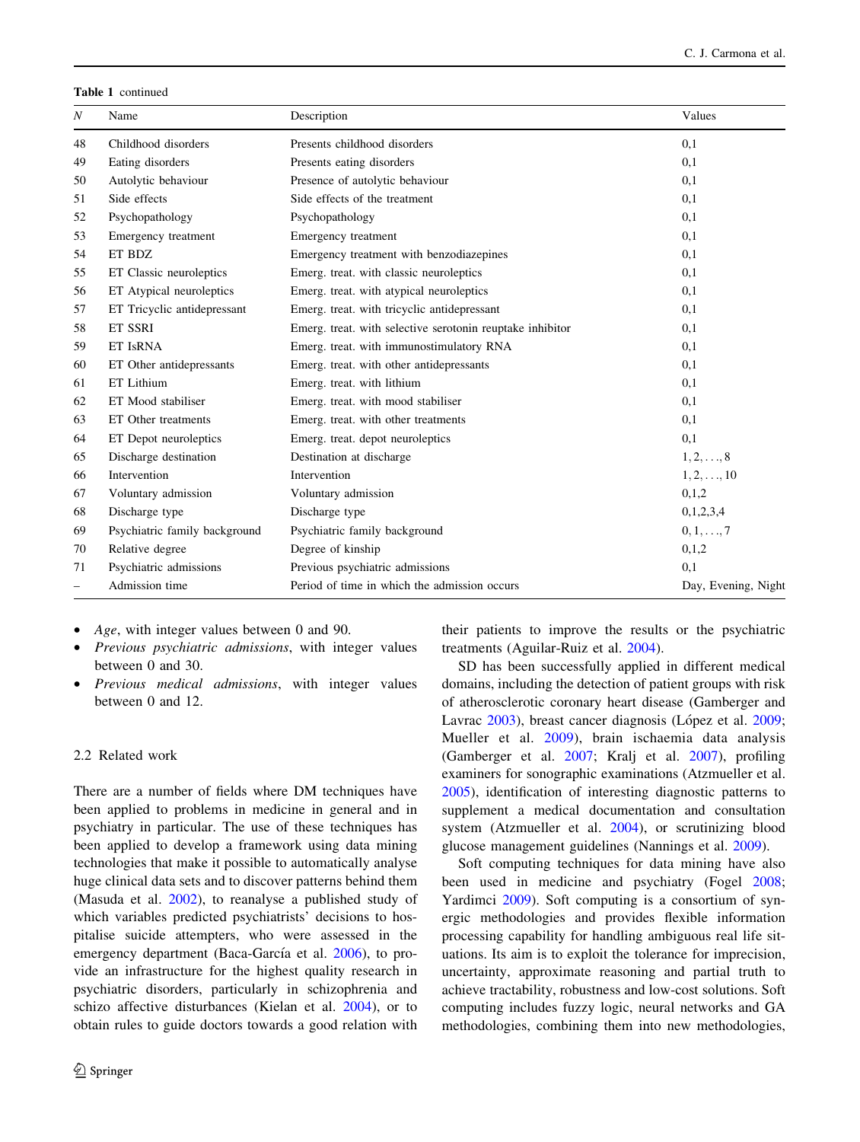Table 1 continued

| $\boldsymbol{N}$ | Name                          | Description                                               | Values              |
|------------------|-------------------------------|-----------------------------------------------------------|---------------------|
| 48               | Childhood disorders           | Presents childhood disorders                              | 0,1                 |
| 49               | Eating disorders              | Presents eating disorders                                 | 0,1                 |
| 50               | Autolytic behaviour           | Presence of autolytic behaviour                           | 0,1                 |
| 51               | Side effects                  | Side effects of the treatment                             | 0,1                 |
| 52               | Psychopathology               | Psychopathology                                           | 0,1                 |
| 53               | Emergency treatment           | Emergency treatment                                       | 0,1                 |
| 54               | ET BDZ                        | Emergency treatment with benzodiazepines                  | 0,1                 |
| 55               | ET Classic neuroleptics       | Emerg. treat. with classic neuroleptics                   | 0,1                 |
| 56               | ET Atypical neuroleptics      | Emerg. treat. with atypical neuroleptics                  | 0,1                 |
| 57               | ET Tricyclic antidepressant   | Emerg. treat. with tricyclic antidepressant               | 0,1                 |
| 58               | ET SSRI                       | Emerg. treat. with selective serotonin reuptake inhibitor | 0,1                 |
| 59               | ET IsRNA                      | Emerg. treat. with immunostimulatory RNA                  | 0,1                 |
| 60               | ET Other antidepressants      | Emerg. treat. with other antidepressants                  | 0,1                 |
| 61               | ET Lithium                    | Emerg. treat. with lithium                                | 0,1                 |
| 62               | ET Mood stabiliser            | Emerg. treat. with mood stabiliser                        | 0,1                 |
| 63               | ET Other treatments           | Emerg. treat. with other treatments                       | 0,1                 |
| 64               | ET Depot neuroleptics         | Emerg. treat. depot neuroleptics                          | 0,1                 |
| 65               | Discharge destination         | Destination at discharge                                  | 1, 2, , 8           |
| 66               | Intervention                  | Intervention                                              | $1, 2, \ldots, 10$  |
| 67               | Voluntary admission           | Voluntary admission                                       | 0,1,2               |
| 68               | Discharge type                | Discharge type                                            | 0,1,2,3,4           |
| 69               | Psychiatric family background | Psychiatric family background                             | 0, 1, , 7           |
| 70               | Relative degree               | Degree of kinship                                         | 0,1,2               |
| 71               | Psychiatric admissions        | Previous psychiatric admissions                           | 0,1                 |
| -                | Admission time                | Period of time in which the admission occurs              | Day, Evening, Night |

Age, with integer values between 0 and 90.

- Previous psychiatric admissions, with integer values between 0 and 30.
- Previous medical admissions, with integer values between 0 and 12.

## 2.2 Related work

There are a number of fields where DM techniques have been applied to problems in medicine in general and in psychiatry in particular. The use of these techniques has been applied to develop a framework using data mining technologies that make it possible to automatically analyse huge clinical data sets and to discover patterns behind them (Masuda et al. [2002\)](#page-13-0), to reanalyse a published study of which variables predicted psychiatrists' decisions to hospitalise suicide attempters, who were assessed in the emergency department (Baca-García et al. [2006\)](#page-12-0), to provide an infrastructure for the highest quality research in psychiatric disorders, particularly in schizophrenia and schizo affective disturbances (Kielan et al. [2004\)](#page-13-0), or to obtain rules to guide doctors towards a good relation with their patients to improve the results or the psychiatric treatments (Aguilar-Ruiz et al. [2004](#page-12-0)).

SD has been successfully applied in different medical domains, including the detection of patient groups with risk of atherosclerotic coronary heart disease (Gamberger and Lavrac [2003\)](#page-12-0), breast cancer diagnosis (López et al. [2009](#page-13-0); Mueller et al. [2009\)](#page-13-0), brain ischaemia data analysis (Gamberger et al. [2007](#page-12-0); Kralj et al. [2007](#page-13-0)), profiling examiners for sonographic examinations (Atzmueller et al. [2005](#page-12-0)), identification of interesting diagnostic patterns to supplement a medical documentation and consultation system (Atzmueller et al. [2004\)](#page-12-0), or scrutinizing blood glucose management guidelines (Nannings et al. [2009\)](#page-13-0).

Soft computing techniques for data mining have also been used in medicine and psychiatry (Fogel [2008](#page-12-0); Yardimci [2009](#page-13-0)). Soft computing is a consortium of synergic methodologies and provides flexible information processing capability for handling ambiguous real life situations. Its aim is to exploit the tolerance for imprecision, uncertainty, approximate reasoning and partial truth to achieve tractability, robustness and low-cost solutions. Soft computing includes fuzzy logic, neural networks and GA methodologies, combining them into new methodologies,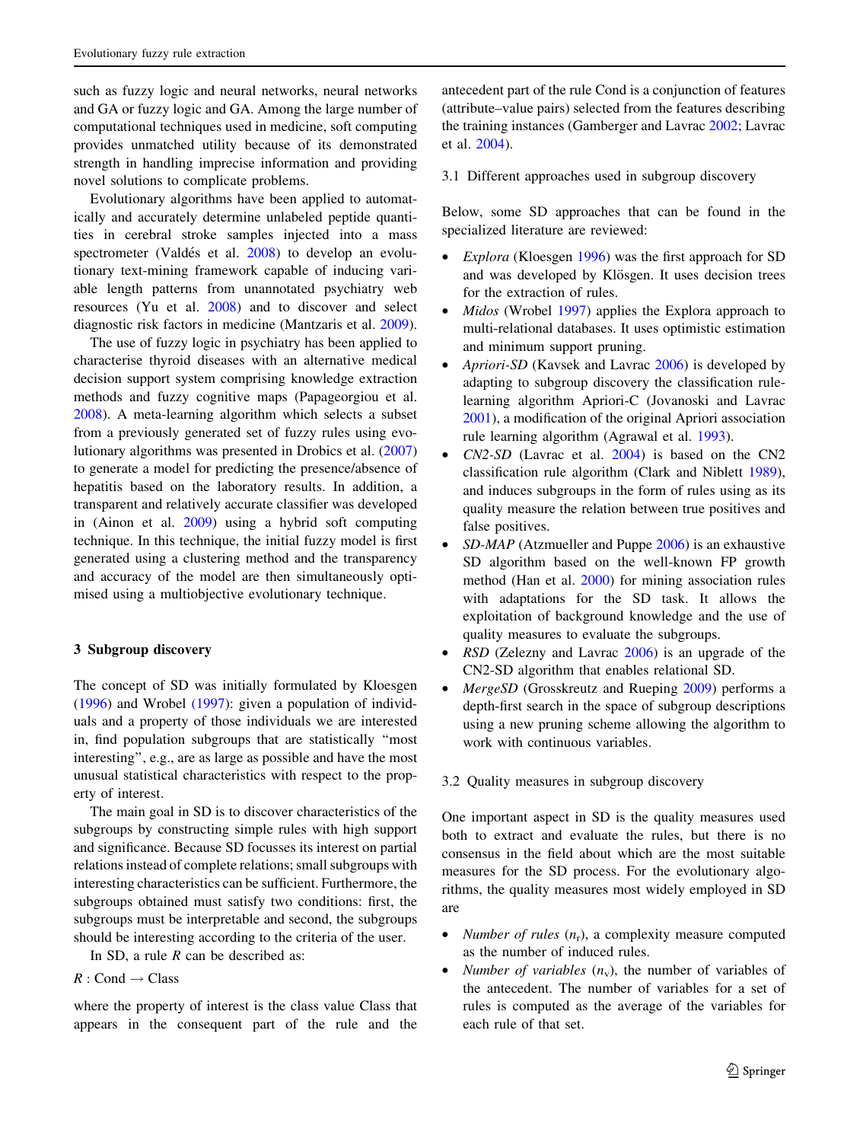such as fuzzy logic and neural networks, neural networks and GA or fuzzy logic and GA. Among the large number of computational techniques used in medicine, soft computing provides unmatched utility because of its demonstrated strength in handling imprecise information and providing novel solutions to complicate problems.

Evolutionary algorithms have been applied to automatically and accurately determine unlabeled peptide quantities in cerebral stroke samples injected into a mass spectrometer (Valdés et al.  $2008$ ) to develop an evolutionary text-mining framework capable of inducing variable length patterns from unannotated psychiatry web resources (Yu et al. [2008\)](#page-13-0) and to discover and select diagnostic risk factors in medicine (Mantzaris et al. [2009](#page-13-0)).

The use of fuzzy logic in psychiatry has been applied to characterise thyroid diseases with an alternative medical decision support system comprising knowledge extraction methods and fuzzy cognitive maps (Papageorgiou et al. [2008\)](#page-13-0). A meta-learning algorithm which selects a subset from a previously generated set of fuzzy rules using evolutionary algorithms was presented in Drobics et al. ([2007\)](#page-12-0) to generate a model for predicting the presence/absence of hepatitis based on the laboratory results. In addition, a transparent and relatively accurate classifier was developed in (Ainon et al. [2009](#page-12-0)) using a hybrid soft computing technique. In this technique, the initial fuzzy model is first generated using a clustering method and the transparency and accuracy of the model are then simultaneously optimised using a multiobjective evolutionary technique.

#### 3 Subgroup discovery

The concept of SD was initially formulated by Kloesgen [\(1996](#page-13-0)) and Wrobel [\(1997\)](#page-13-0): given a population of individuals and a property of those individuals we are interested in, find population subgroups that are statistically ''most interesting'', e.g., are as large as possible and have the most unusual statistical characteristics with respect to the property of interest.

The main goal in SD is to discover characteristics of the subgroups by constructing simple rules with high support and significance. Because SD focusses its interest on partial relations instead of complete relations; small subgroups with interesting characteristics can be sufficient. Furthermore, the subgroups obtained must satisfy two conditions: first, the subgroups must be interpretable and second, the subgroups should be interesting according to the criteria of the user.

In SD, a rule  $R$  can be described as:

 $R:$  Cond  $\rightarrow$  Class

where the property of interest is the class value Class that appears in the consequent part of the rule and the

antecedent part of the rule Cond is a conjunction of features (attribute–value pairs) selected from the features describing the training instances (Gamberger and Lavrac [2002](#page-12-0); Lavrac et al. [2004\)](#page-13-0).

3.1 Different approaches used in subgroup discovery

Below, some SD approaches that can be found in the specialized literature are reviewed:

- Explora (Kloesgen [1996\)](#page-13-0) was the first approach for SD and was developed by Klösgen. It uses decision trees for the extraction of rules.
- *Midos* (Wrobel [1997](#page-13-0)) applies the Explora approach to multi-relational databases. It uses optimistic estimation and minimum support pruning.
- Apriori-SD (Kavsek and Lavrac [2006\)](#page-13-0) is developed by adapting to subgroup discovery the classification rulelearning algorithm Apriori-C (Jovanoski and Lavrac [2001\)](#page-13-0), a modification of the original Apriori association rule learning algorithm (Agrawal et al. [1993\)](#page-12-0).
- CN2-SD (Lavrac et al. [2004\)](#page-13-0) is based on the CN2 classification rule algorithm (Clark and Niblett [1989](#page-12-0)), and induces subgroups in the form of rules using as its quality measure the relation between true positives and false positives.
- SD-MAP (Atzmueller and Puppe [2006\)](#page-12-0) is an exhaustive SD algorithm based on the well-known FP growth method (Han et al. [2000](#page-13-0)) for mining association rules with adaptations for the SD task. It allows the exploitation of background knowledge and the use of quality measures to evaluate the subgroups.
- $RSD$  (Zelezny and Lavrac  $2006$ ) is an upgrade of the CN2-SD algorithm that enables relational SD.
- *MergeSD* (Grosskreutz and Rueping [2009](#page-13-0)) performs a depth-first search in the space of subgroup descriptions using a new pruning scheme allowing the algorithm to work with continuous variables.

#### 3.2 Quality measures in subgroup discovery

One important aspect in SD is the quality measures used both to extract and evaluate the rules, but there is no consensus in the field about which are the most suitable measures for the SD process. For the evolutionary algorithms, the quality measures most widely employed in SD are

- *Number of rules*  $(n_r)$ , a complexity measure computed as the number of induced rules.
- *Number of variables*  $(n_v)$ , the number of variables of the antecedent. The number of variables for a set of rules is computed as the average of the variables for each rule of that set.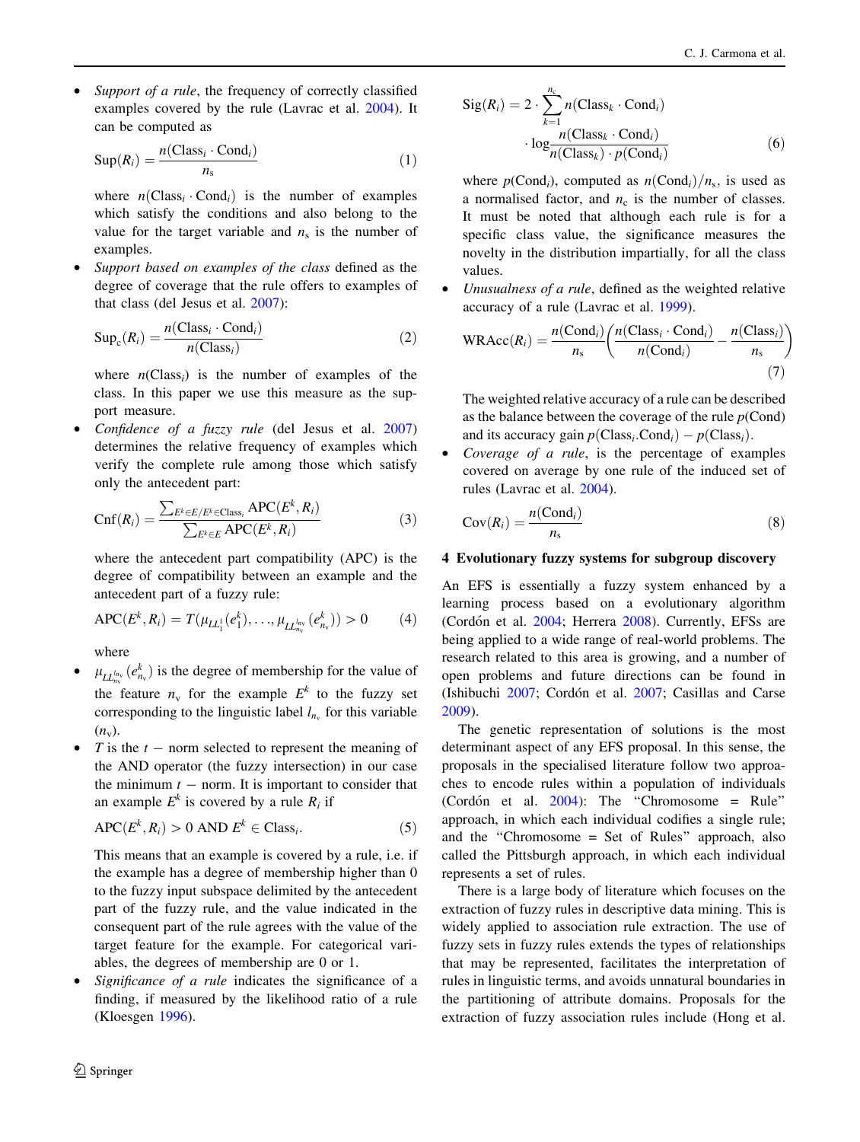<span id="page-5-0"></span>Support of a rule, the frequency of correctly classified examples covered by the rule (Lavrac et al. [2004](#page-13-0)). It can be computed as

$$
Sup(R_i) = \frac{n(Class_i \cdot Cond_i)}{n_s} \tag{1}
$$

where  $n(\text{Class}_i \cdot \text{Cond}_i)$  is the number of examples which satisfy the conditions and also belong to the value for the target variable and  $n<sub>s</sub>$  is the number of examples.

Support based on examples of the class defined as the degree of coverage that the rule offers to examples of that class (del Jesus et al. [2007\)](#page-12-0):

$$
Sup_c(R_i) = \frac{n(Class_i \cdot Cond_i)}{n(Class_i)}
$$
\n(2)

where  $n(Class_i)$  is the number of examples of the class. In this paper we use this measure as the support measure.

• Confidence of a fuzzy rule (del Jesus et al. [2007\)](#page-12-0) determines the relative frequency of examples which verify the complete rule among those which satisfy only the antecedent part:

$$
\text{Cnf}(R_i) = \frac{\sum_{E^k \in E/E^k \in \text{Class}_i} \text{APC}(E^k, R_i)}{\sum_{E^k \in E} \text{APC}(E^k, R_i)}
$$
(3)

where the antecedent part compatibility (APC) is the degree of compatibility between an example and the antecedent part of a fuzzy rule:

$$
APC(E^{k}, R_{i}) = T(\mu_{LL_{1}^{1}}(e_{1}^{k}), \ldots, \mu_{LL_{n_{v}}^{h_{n_{v}}}}(e_{n_{v}}^{k})) > 0
$$
 (4)

where

- $\mu_{LL_{m_v}^{l_{n_v}}}(e_{n_v}^k)$  is the degree of membership for the value of the feature  $n_v$  for the example  $E^k$  to the fuzzy set corresponding to the linguistic label  $l_{n}$  for this variable  $(n_v)$ .
- $T$  is the  $t$  norm selected to represent the meaning of the AND operator (the fuzzy intersection) in our case the minimum  $t$  – norm. It is important to consider that an example  $E^k$  is covered by a rule  $R_i$  if

$$
APC(E^k, R_i) > 0 \text{ AND } E^k \in \text{Class}_i. \tag{5}
$$

This means that an example is covered by a rule, i.e. if the example has a degree of membership higher than 0 to the fuzzy input subspace delimited by the antecedent part of the fuzzy rule, and the value indicated in the consequent part of the rule agrees with the value of the target feature for the example. For categorical variables, the degrees of membership are 0 or 1.

• Significance of a rule indicates the significance of a finding, if measured by the likelihood ratio of a rule (Kloesgen [1996\)](#page-13-0).

$$
Sig(R_i) = 2 \cdot \sum_{k=1}^{n_c} n(Class_k \cdot Cond_i) \cdot log \frac{n(Class_k \cdot Cond_i)}{n(Class_k) \cdot p(Cond_i)}
$$
(6)

where  $p(Cond<sub>i</sub>)$ , computed as  $n(Cond<sub>i</sub>)/n<sub>s</sub>$ , is used as a normalised factor, and  $n_c$  is the number of classes. It must be noted that although each rule is for a specific class value, the significance measures the novelty in the distribution impartially, for all the class values.

Unusualness of a rule, defined as the weighted relative accuracy of a rule (Lavrac et al. [1999](#page-13-0)).

WRAcc(R<sub>i</sub>) = 
$$
\frac{n(\text{Cond}_i)}{n_s} \left( \frac{n(\text{Class}_i \cdot \text{Cond}_i)}{n(\text{Cond}_i)} - \frac{n(\text{Class}_i)}{n_s} \right)
$$
(7)

The weighted relative accuracy of a rule can be described as the balance between the coverage of the rule  $p$ (Cond) and its accuracy gain  $p$ (Class<sub>i</sub>.Cond<sub>i</sub>) –  $p$ (Class<sub>i</sub>).

Coverage of a rule, is the percentage of examples covered on average by one rule of the induced set of rules (Lavrac et al. [2004\)](#page-13-0).

$$
Cov(R_i) = \frac{n(Cond_i)}{n_s} \tag{8}
$$

#### 4 Evolutionary fuzzy systems for subgroup discovery

An EFS is essentially a fuzzy system enhanced by a learning process based on a evolutionary algorithm (Cordón et al. [2004](#page-12-0); Herrera [2008](#page-13-0)). Currently, EFSs are being applied to a wide range of real-world problems. The research related to this area is growing, and a number of open problems and future directions can be found in (Ishibuchi [2007](#page-13-0); Cordón et al. [2007;](#page-12-0) Casillas and Carse [2009](#page-12-0)).

The genetic representation of solutions is the most determinant aspect of any EFS proposal. In this sense, the proposals in the specialised literature follow two approaches to encode rules within a population of individuals (Cordón et al.  $2004$ ): The "Chromosome = Rule" approach, in which each individual codifies a single rule; and the ''Chromosome = Set of Rules'' approach, also called the Pittsburgh approach, in which each individual represents a set of rules.

There is a large body of literature which focuses on the extraction of fuzzy rules in descriptive data mining. This is widely applied to association rule extraction. The use of fuzzy sets in fuzzy rules extends the types of relationships that may be represented, facilitates the interpretation of rules in linguistic terms, and avoids unnatural boundaries in the partitioning of attribute domains. Proposals for the extraction of fuzzy association rules include (Hong et al.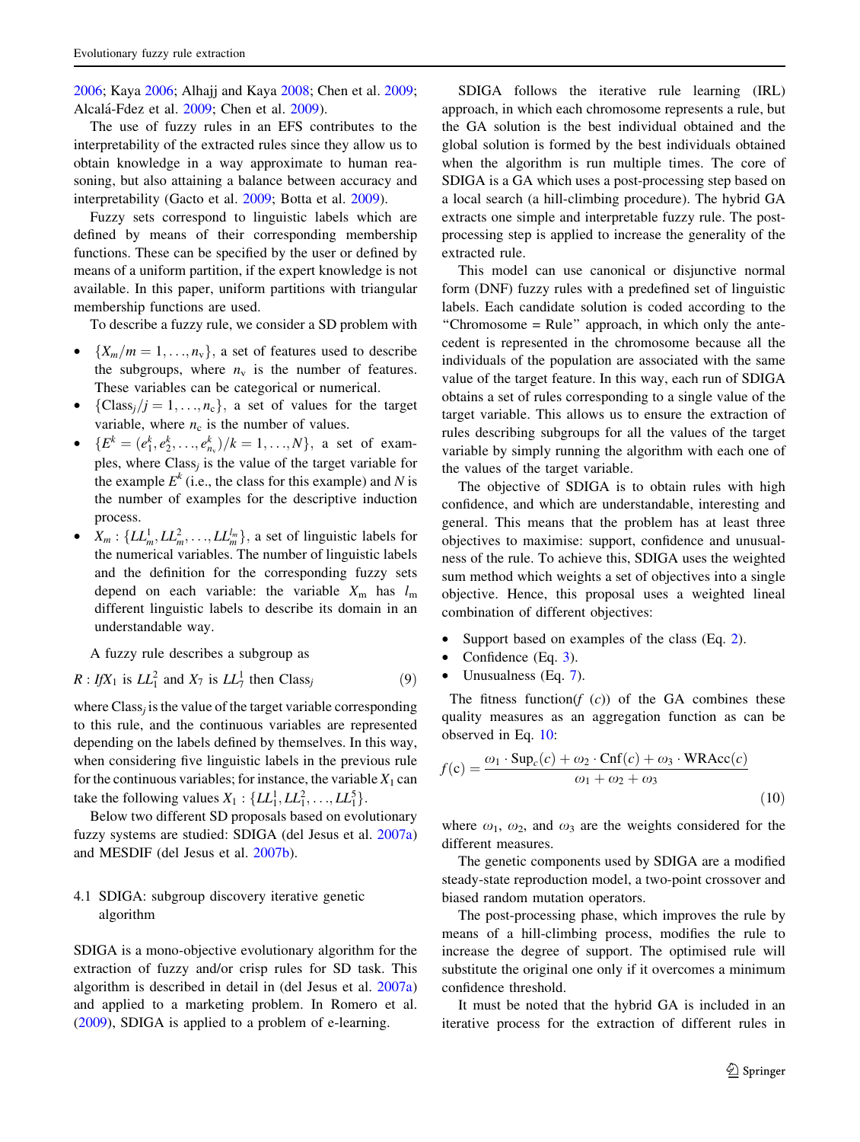[2006;](#page-13-0) Kaya [2006](#page-13-0); Alhajj and Kaya [2008;](#page-12-0) Chen et al. [2009](#page-12-0); Alcala´-Fdez et al. [2009;](#page-12-0) Chen et al. [2009](#page-12-0)).

The use of fuzzy rules in an EFS contributes to the interpretability of the extracted rules since they allow us to obtain knowledge in a way approximate to human reasoning, but also attaining a balance between accuracy and interpretability (Gacto et al. [2009](#page-12-0); Botta et al. [2009](#page-12-0)).

Fuzzy sets correspond to linguistic labels which are defined by means of their corresponding membership functions. These can be specified by the user or defined by means of a uniform partition, if the expert knowledge is not available. In this paper, uniform partitions with triangular membership functions are used.

To describe a fuzzy rule, we consider a SD problem with

- $\{X_m/m=1,\ldots,n_v\}$ , a set of features used to describe the subgroups, where  $n_v$  is the number of features. These variables can be categorical or numerical.
- $\{Class_i / j = 1, ..., n_c\}$ , a set of values for the target variable, where  $n_c$  is the number of values.
- ${E^k = (e_1^k, e_2^k, \ldots, e_{n_v}^k)}$  / $k = 1, \ldots, N$ , a set of examples, where  $Class<sub>i</sub>$  is the value of the target variable for the example  $E^k$  (i.e., the class for this example) and N is the number of examples for the descriptive induction process.
- $X_m: \{LL_m^1, LL_m^2, \ldots, LL_m^l\}$ , a set of linguistic labels for the numerical variables. The number of linguistic labels and the definition for the corresponding fuzzy sets depend on each variable: the variable  $X_{\rm m}$  has  $l_{\rm m}$ different linguistic labels to describe its domain in an understandable way.

A fuzzy rule describes a subgroup as

$$
R: IfX_1 \text{ is } LL_1^2 \text{ and } X_7 \text{ is } LL_7^1 \text{ then Class}_j \tag{9}
$$

where  $Class<sub>i</sub>$  is the value of the target variable corresponding to this rule, and the continuous variables are represented depending on the labels defined by themselves. In this way, when considering five linguistic labels in the previous rule for the continuous variables; for instance, the variable  $X_1$  can take the following values  $X_1$  :  $\{LL_1^1, LL_1^2, ..., LL_1^5\}$ .

Below two different SD proposals based on evolutionary fuzzy systems are studied: SDIGA (del Jesus et al. [2007a\)](#page-12-0) and MESDIF (del Jesus et al. [2007b\)](#page-12-0).

# 4.1 SDIGA: subgroup discovery iterative genetic algorithm

SDIGA is a mono-objective evolutionary algorithm for the extraction of fuzzy and/or crisp rules for SD task. This algorithm is described in detail in (del Jesus et al. [2007a\)](#page-12-0) and applied to a marketing problem. In Romero et al. [\(2009](#page-13-0)), SDIGA is applied to a problem of e-learning.

SDIGA follows the iterative rule learning (IRL) approach, in which each chromosome represents a rule, but the GA solution is the best individual obtained and the global solution is formed by the best individuals obtained when the algorithm is run multiple times. The core of SDIGA is a GA which uses a post-processing step based on a local search (a hill-climbing procedure). The hybrid GA extracts one simple and interpretable fuzzy rule. The postprocessing step is applied to increase the generality of the extracted rule.

This model can use canonical or disjunctive normal form (DNF) fuzzy rules with a predefined set of linguistic labels. Each candidate solution is coded according to the "Chromosome = Rule" approach, in which only the antecedent is represented in the chromosome because all the individuals of the population are associated with the same value of the target feature. In this way, each run of SDIGA obtains a set of rules corresponding to a single value of the target variable. This allows us to ensure the extraction of rules describing subgroups for all the values of the target variable by simply running the algorithm with each one of the values of the target variable.

The objective of SDIGA is to obtain rules with high confidence, and which are understandable, interesting and general. This means that the problem has at least three objectives to maximise: support, confidence and unusualness of the rule. To achieve this, SDIGA uses the weighted sum method which weights a set of objectives into a single objective. Hence, this proposal uses a weighted lineal combination of different objectives:

- Support based on examples of the class (Eq. [2](#page-5-0)).
- Confidence (Eq. [3\)](#page-5-0).
- Unusualness (Eq. [7\)](#page-5-0).

The fitness function( $f(c)$ ) of the GA combines these quality measures as an aggregation function as can be observed in Eq. 10:

$$
f(c) = \frac{\omega_1 \cdot \text{Sup}_c(c) + \omega_2 \cdot \text{Cnf}(c) + \omega_3 \cdot \text{WRAcc}(c)}{\omega_1 + \omega_2 + \omega_3}
$$
(10)

where  $\omega_1$ ,  $\omega_2$ , and  $\omega_3$  are the weights considered for the different measures.

The genetic components used by SDIGA are a modified steady-state reproduction model, a two-point crossover and biased random mutation operators.

The post-processing phase, which improves the rule by means of a hill-climbing process, modifies the rule to increase the degree of support. The optimised rule will substitute the original one only if it overcomes a minimum confidence threshold.

It must be noted that the hybrid GA is included in an iterative process for the extraction of different rules in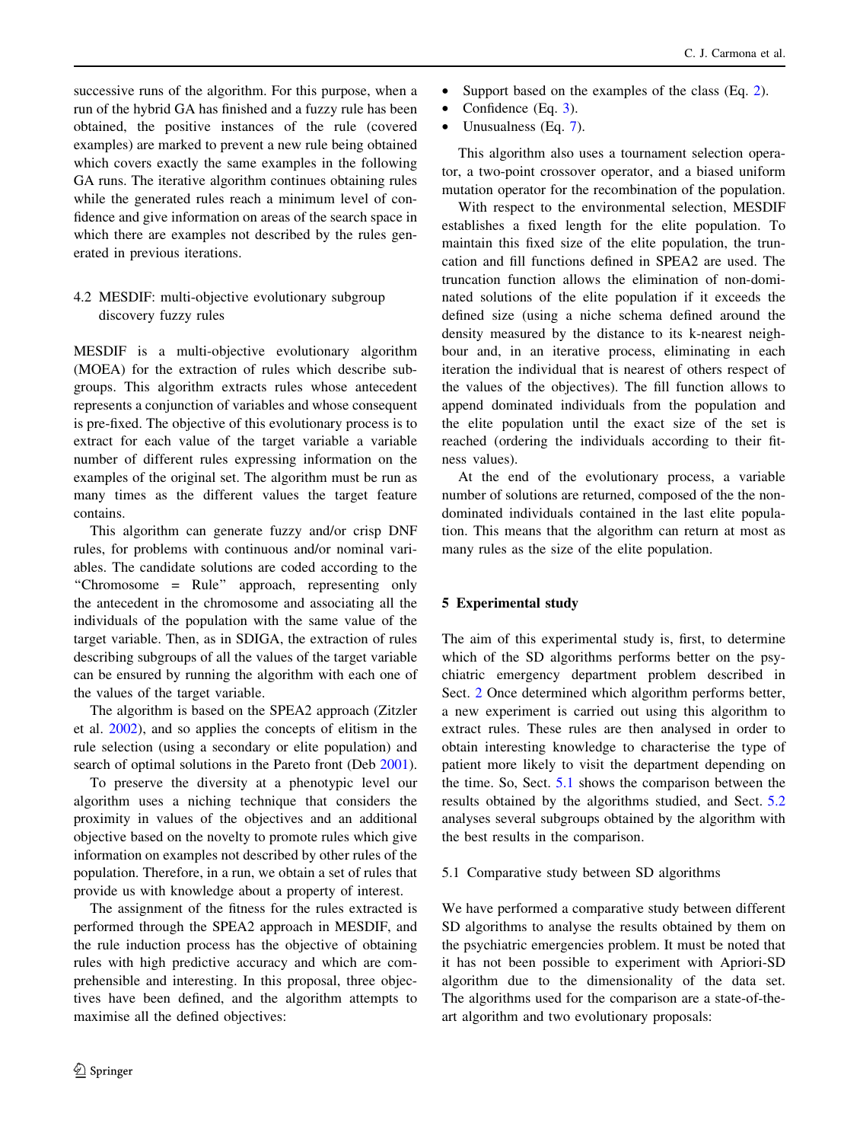<span id="page-7-0"></span>successive runs of the algorithm. For this purpose, when a run of the hybrid GA has finished and a fuzzy rule has been obtained, the positive instances of the rule (covered examples) are marked to prevent a new rule being obtained which covers exactly the same examples in the following GA runs. The iterative algorithm continues obtaining rules while the generated rules reach a minimum level of confidence and give information on areas of the search space in which there are examples not described by the rules generated in previous iterations.

# 4.2 MESDIF: multi-objective evolutionary subgroup discovery fuzzy rules

MESDIF is a multi-objective evolutionary algorithm (MOEA) for the extraction of rules which describe subgroups. This algorithm extracts rules whose antecedent represents a conjunction of variables and whose consequent is pre-fixed. The objective of this evolutionary process is to extract for each value of the target variable a variable number of different rules expressing information on the examples of the original set. The algorithm must be run as many times as the different values the target feature contains.

This algorithm can generate fuzzy and/or crisp DNF rules, for problems with continuous and/or nominal variables. The candidate solutions are coded according to the ''Chromosome = Rule'' approach, representing only the antecedent in the chromosome and associating all the individuals of the population with the same value of the target variable. Then, as in SDIGA, the extraction of rules describing subgroups of all the values of the target variable can be ensured by running the algorithm with each one of the values of the target variable.

The algorithm is based on the SPEA2 approach (Zitzler et al. [2002](#page-13-0)), and so applies the concepts of elitism in the rule selection (using a secondary or elite population) and search of optimal solutions in the Pareto front (Deb [2001](#page-12-0)).

To preserve the diversity at a phenotypic level our algorithm uses a niching technique that considers the proximity in values of the objectives and an additional objective based on the novelty to promote rules which give information on examples not described by other rules of the population. Therefore, in a run, we obtain a set of rules that provide us with knowledge about a property of interest.

The assignment of the fitness for the rules extracted is performed through the SPEA2 approach in MESDIF, and the rule induction process has the objective of obtaining rules with high predictive accuracy and which are comprehensible and interesting. In this proposal, three objectives have been defined, and the algorithm attempts to maximise all the defined objectives:

- Support based on the examples of the class (Eq. [2](#page-5-0)).
- Confidence (Eq. [3\)](#page-5-0).
- Unusualness (Eq. [7\)](#page-5-0).

This algorithm also uses a tournament selection operator, a two-point crossover operator, and a biased uniform mutation operator for the recombination of the population.

With respect to the environmental selection, MESDIF establishes a fixed length for the elite population. To maintain this fixed size of the elite population, the truncation and fill functions defined in SPEA2 are used. The truncation function allows the elimination of non-dominated solutions of the elite population if it exceeds the defined size (using a niche schema defined around the density measured by the distance to its k-nearest neighbour and, in an iterative process, eliminating in each iteration the individual that is nearest of others respect of the values of the objectives). The fill function allows to append dominated individuals from the population and the elite population until the exact size of the set is reached (ordering the individuals according to their fitness values).

At the end of the evolutionary process, a variable number of solutions are returned, composed of the the nondominated individuals contained in the last elite population. This means that the algorithm can return at most as many rules as the size of the elite population.

# 5 Experimental study

The aim of this experimental study is, first, to determine which of the SD algorithms performs better on the psychiatric emergency department problem described in Sect. [2](#page-1-0) Once determined which algorithm performs better, a new experiment is carried out using this algorithm to extract rules. These rules are then analysed in order to obtain interesting knowledge to characterise the type of patient more likely to visit the department depending on the time. So, Sect. 5.1 shows the comparison between the results obtained by the algorithms studied, and Sect. [5.2](#page-9-0) analyses several subgroups obtained by the algorithm with the best results in the comparison.

### 5.1 Comparative study between SD algorithms

We have performed a comparative study between different SD algorithms to analyse the results obtained by them on the psychiatric emergencies problem. It must be noted that it has not been possible to experiment with Apriori-SD algorithm due to the dimensionality of the data set. The algorithms used for the comparison are a state-of-theart algorithm and two evolutionary proposals: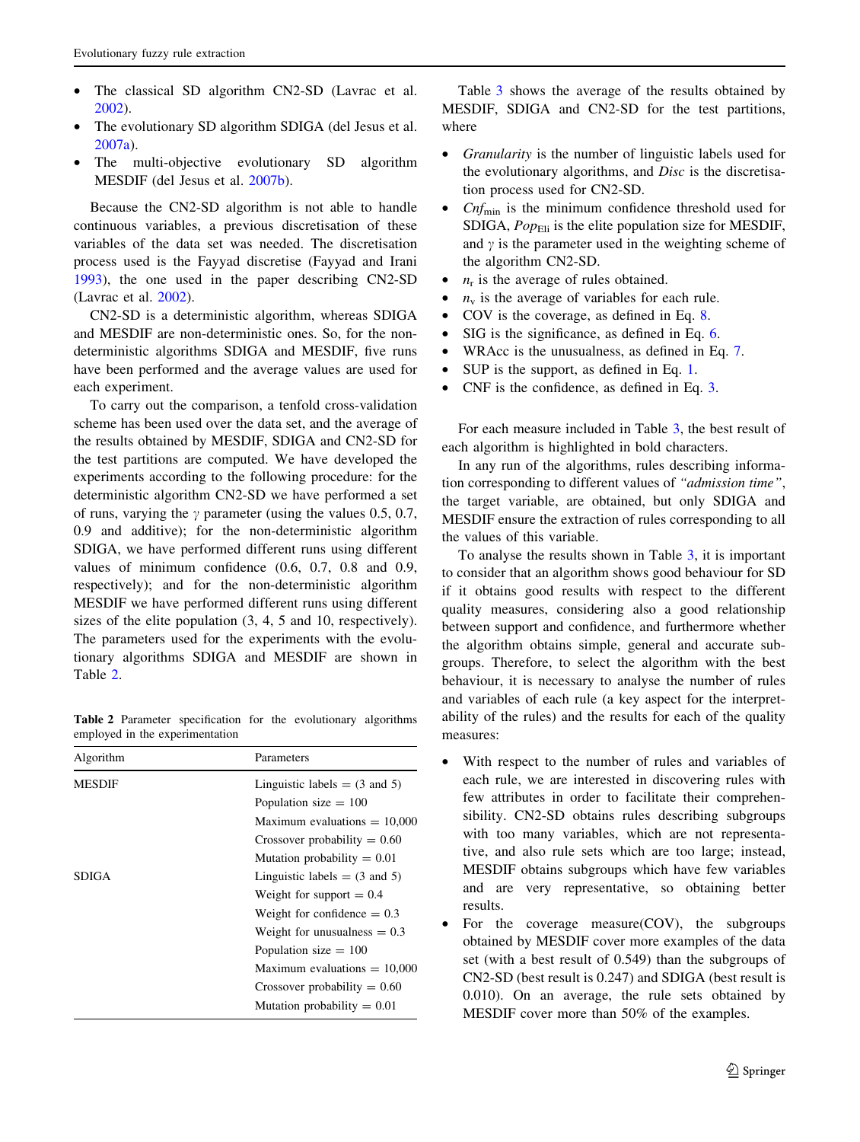- <span id="page-8-0"></span>• The classical SD algorithm CN2-SD (Lavrac et al. [2002\)](#page-13-0).
- The evolutionary SD algorithm SDIGA (del Jesus et al. [2007a](#page-12-0)).
- The multi-objective evolutionary SD algorithm MESDIF (del Jesus et al. [2007b](#page-12-0)).

Because the CN2-SD algorithm is not able to handle continuous variables, a previous discretisation of these variables of the data set was needed. The discretisation process used is the Fayyad discretise (Fayyad and Irani [1993\)](#page-12-0), the one used in the paper describing CN2-SD (Lavrac et al. [2002](#page-13-0)).

CN2-SD is a deterministic algorithm, whereas SDIGA and MESDIF are non-deterministic ones. So, for the nondeterministic algorithms SDIGA and MESDIF, five runs have been performed and the average values are used for each experiment.

To carry out the comparison, a tenfold cross-validation scheme has been used over the data set, and the average of the results obtained by MESDIF, SDIGA and CN2-SD for the test partitions are computed. We have developed the experiments according to the following procedure: for the deterministic algorithm CN2-SD we have performed a set of runs, varying the  $\gamma$  parameter (using the values 0.5, 0.7, 0.9 and additive); for the non-deterministic algorithm SDIGA, we have performed different runs using different values of minimum confidence (0.6, 0.7, 0.8 and 0.9, respectively); and for the non-deterministic algorithm MESDIF we have performed different runs using different sizes of the elite population (3, 4, 5 and 10, respectively). The parameters used for the experiments with the evolutionary algorithms SDIGA and MESDIF are shown in Table 2.

Table 2 Parameter specification for the evolutionary algorithms employed in the experimentation

| Algorithm     | Parameters                               |
|---------------|------------------------------------------|
| <b>MESDIF</b> | Linguistic labels $= (3 \text{ and } 5)$ |
|               | Population size $= 100$                  |
|               | Maximum evaluations $= 10,000$           |
|               | Crossover probability $= 0.60$           |
|               | Mutation probability $= 0.01$            |
| SDIGA         | Linguistic labels $= (3 \text{ and } 5)$ |
|               | Weight for support $= 0.4$               |
|               | Weight for confidence $= 0.3$            |
|               | Weight for unusualness $= 0.3$           |
|               | Population size $= 100$                  |
|               | Maximum evaluations $= 10,000$           |
|               | Crossover probability $= 0.60$           |
|               | Mutation probability $= 0.01$            |

Table [3](#page-9-0) shows the average of the results obtained by MESDIF, SDIGA and CN2-SD for the test partitions, where

- Granularity is the number of linguistic labels used for the evolutionary algorithms, and Disc is the discretisation process used for CN2-SD.
- $Cn f_{\text{min}}$  is the minimum confidence threshold used for SDIGA,  $Pop_{E1i}$  is the elite population size for MESDIF, and  $\gamma$  is the parameter used in the weighting scheme of the algorithm CN2-SD.
- $n_r$  is the average of rules obtained.
- $n_v$  is the average of variables for each rule.
- COV is the coverage, as defined in Eq. [8.](#page-5-0)
- SIG is the significance, as defined in Eq. [6.](#page-5-0)
- WRAcc is the unusualness, as defined in Eq. [7](#page-5-0).
- SUP is the support, as defined in Eq. [1.](#page-5-0)
- CNF is the confidence, as defined in Eq. [3](#page-5-0).

For each measure included in Table [3](#page-9-0), the best result of each algorithm is highlighted in bold characters.

In any run of the algorithms, rules describing information corresponding to different values of ''admission time'', the target variable, are obtained, but only SDIGA and MESDIF ensure the extraction of rules corresponding to all the values of this variable.

To analyse the results shown in Table [3,](#page-9-0) it is important to consider that an algorithm shows good behaviour for SD if it obtains good results with respect to the different quality measures, considering also a good relationship between support and confidence, and furthermore whether the algorithm obtains simple, general and accurate subgroups. Therefore, to select the algorithm with the best behaviour, it is necessary to analyse the number of rules and variables of each rule (a key aspect for the interpretability of the rules) and the results for each of the quality measures:

- With respect to the number of rules and variables of each rule, we are interested in discovering rules with few attributes in order to facilitate their comprehensibility. CN2-SD obtains rules describing subgroups with too many variables, which are not representative, and also rule sets which are too large; instead, MESDIF obtains subgroups which have few variables and are very representative, so obtaining better results.
- For the coverage measure  $(COV)$ , the subgroups obtained by MESDIF cover more examples of the data set (with a best result of 0.549) than the subgroups of CN2-SD (best result is 0.247) and SDIGA (best result is 0.010). On an average, the rule sets obtained by MESDIF cover more than 50% of the examples.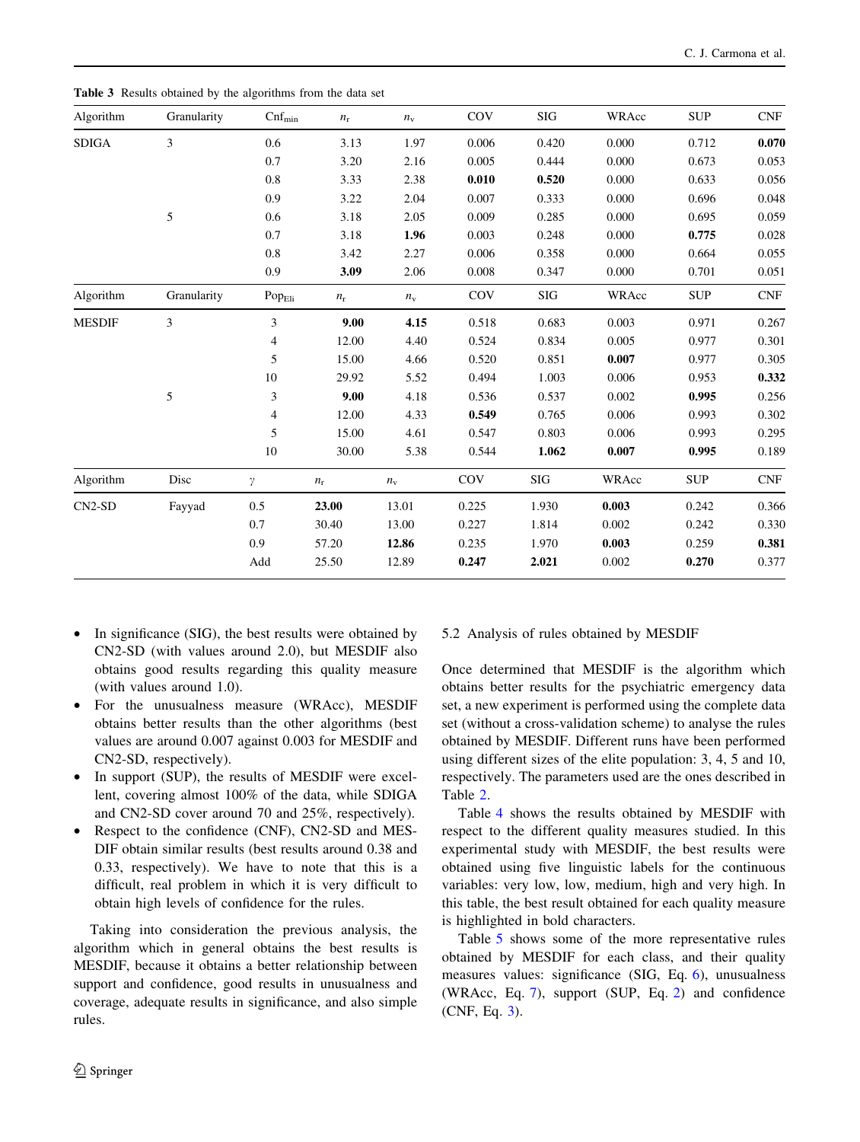| Algorithm     | Granularity    | $Cn f_{\min}$                         | $n_{\rm r}$ | $n_{\rm v}$ | <b>COV</b> | SIG        | WRAcc                                                                                                                                                                                                                                                                                                                                                                          | <b>SUP</b> | <b>CNF</b> |
|---------------|----------------|---------------------------------------|-------------|-------------|------------|------------|--------------------------------------------------------------------------------------------------------------------------------------------------------------------------------------------------------------------------------------------------------------------------------------------------------------------------------------------------------------------------------|------------|------------|
| <b>SDIGA</b>  | $\mathfrak{Z}$ | 0.6                                   | 3.13        | 1.97        | 0.006      | 0.420      | 0.000<br>0.712<br>0.000<br>0.673<br>0.000<br>0.633<br>0.696<br>0.000<br>0.000<br>0.695<br>0.000<br>0.775<br>0.000<br>0.664<br>0.000<br>0.701<br>WRAcc<br><b>SUP</b><br>0.003<br>0.971<br>0.005<br>0.977<br>0.007<br>0.977<br>0.006<br>0.953<br>0.002<br>0.995<br>0.006<br>0.993<br>0.006<br>0.993<br>0.007<br>0.995<br>WRAcc<br><b>SUP</b><br>0.003<br>0.242<br>0.002<br>0.242 |            | 0.070      |
|               |                | 0.7                                   | 3.20        | 2.16        | 0.005      | 0.444      |                                                                                                                                                                                                                                                                                                                                                                                |            | 0.053      |
|               |                | 0.8                                   | 3.33        | 2.38        | 0.010      | 0.520      |                                                                                                                                                                                                                                                                                                                                                                                |            | 0.056      |
|               |                | 0.9                                   | 3.22        | 2.04        | 0.007      | 0.333      |                                                                                                                                                                                                                                                                                                                                                                                |            | 0.048      |
|               | 5              | 0.6                                   | 3.18        | 2.05        | 0.009      | 0.285      |                                                                                                                                                                                                                                                                                                                                                                                |            | 0.059      |
|               |                | 0.7                                   | 3.18        | 1.96        | 0.003      | 0.248      |                                                                                                                                                                                                                                                                                                                                                                                |            | 0.028      |
|               |                | 0.8                                   | 3.42        | 2.27        | 0.006      | 0.358      |                                                                                                                                                                                                                                                                                                                                                                                |            | 0.055      |
|               |                | 0.9                                   | 3.09        | 2.06        | 0.008      | 0.347      |                                                                                                                                                                                                                                                                                                                                                                                |            | 0.051      |
| Algorithm     | Granularity    | $\ensuremath{\mathsf{Pop}}_{\rm Eli}$ | $n_{\rm r}$ | $n_{\rm v}$ | <b>COV</b> | <b>SIG</b> |                                                                                                                                                                                                                                                                                                                                                                                |            | <b>CNF</b> |
| <b>MESDIF</b> | $\mathfrak{Z}$ | 3                                     | 9.00        | 4.15        | 0.518      | 0.683      |                                                                                                                                                                                                                                                                                                                                                                                |            | 0.267      |
|               |                | 4                                     | 12.00       | 4.40        | 0.524      | 0.834      |                                                                                                                                                                                                                                                                                                                                                                                |            | 0.301      |
|               |                | 5                                     | 15.00       | 4.66        | 0.520      | 0.851      |                                                                                                                                                                                                                                                                                                                                                                                |            | 0.305      |
|               |                | 10                                    | 29.92       | 5.52        | 0.494      | 1.003      |                                                                                                                                                                                                                                                                                                                                                                                |            | 0.332      |
|               | 5              | 3                                     | 9.00        | 4.18        | 0.536      | 0.537      |                                                                                                                                                                                                                                                                                                                                                                                |            | 0.256      |
|               |                | 4                                     | 12.00       | 4.33        | 0.549      | 0.765      |                                                                                                                                                                                                                                                                                                                                                                                |            | 0.302      |
|               |                | 5                                     | 15.00       | 4.61        | 0.547      | 0.803      |                                                                                                                                                                                                                                                                                                                                                                                |            | 0.295      |
|               |                | 10                                    | 30.00       | 5.38        | 0.544      | 1.062      |                                                                                                                                                                                                                                                                                                                                                                                |            | 0.189      |
| Algorithm     | Disc           | $\gamma$                              | $n_{\rm r}$ | $n_{\rm v}$ | <b>COV</b> | <b>SIG</b> |                                                                                                                                                                                                                                                                                                                                                                                |            | <b>CNF</b> |
| $CN2-SD$      | Fayyad         | 0.5                                   | 23.00       | 13.01       | 0.225      | 1.930      |                                                                                                                                                                                                                                                                                                                                                                                |            | 0.366      |
|               |                | 0.7                                   | 30.40       | 13.00       | 0.227      | 1.814      |                                                                                                                                                                                                                                                                                                                                                                                |            | 0.330      |
|               |                | 0.9                                   | 57.20       | 12.86       | 0.235      | 1.970      | 0.003                                                                                                                                                                                                                                                                                                                                                                          | 0.259      | 0.381      |
|               |                | Add                                   | 25.50       | 12.89       | 0.247      | 2.021      | 0.002                                                                                                                                                                                                                                                                                                                                                                          | 0.270      | 0.377      |

<span id="page-9-0"></span>Table 3 Results obtained by the algorithms from the data set

- In significance (SIG), the best results were obtained by CN2-SD (with values around 2.0), but MESDIF also obtains good results regarding this quality measure (with values around 1.0).
- For the unusualness measure (WRAcc), MESDIF obtains better results than the other algorithms (best values are around 0.007 against 0.003 for MESDIF and CN2-SD, respectively).
- In support (SUP), the results of MESDIF were excellent, covering almost 100% of the data, while SDIGA and CN2-SD cover around 70 and 25%, respectively).
- Respect to the confidence (CNF), CN2-SD and MES-DIF obtain similar results (best results around 0.38 and 0.33, respectively). We have to note that this is a difficult, real problem in which it is very difficult to obtain high levels of confidence for the rules.

Taking into consideration the previous analysis, the algorithm which in general obtains the best results is MESDIF, because it obtains a better relationship between support and confidence, good results in unusualness and coverage, adequate results in significance, and also simple rules.

# Once determined that MESDIF is the algorithm which

5.2 Analysis of rules obtained by MESDIF

obtains better results for the psychiatric emergency data set, a new experiment is performed using the complete data set (without a cross-validation scheme) to analyse the rules obtained by MESDIF. Different runs have been performed using different sizes of the elite population: 3, 4, 5 and 10, respectively. The parameters used are the ones described in Table [2](#page-8-0).

Table [4](#page-10-0) shows the results obtained by MESDIF with respect to the different quality measures studied. In this experimental study with MESDIF, the best results were obtained using five linguistic labels for the continuous variables: very low, low, medium, high and very high. In this table, the best result obtained for each quality measure is highlighted in bold characters.

Table [5](#page-10-0) shows some of the more representative rules obtained by MESDIF for each class, and their quality measures values: significance (SIG, Eq. [6\)](#page-5-0), unusualness (WRAcc, Eq. [7\)](#page-5-0), support (SUP, Eq. [2](#page-5-0)) and confidence (CNF, Eq. [3\)](#page-5-0).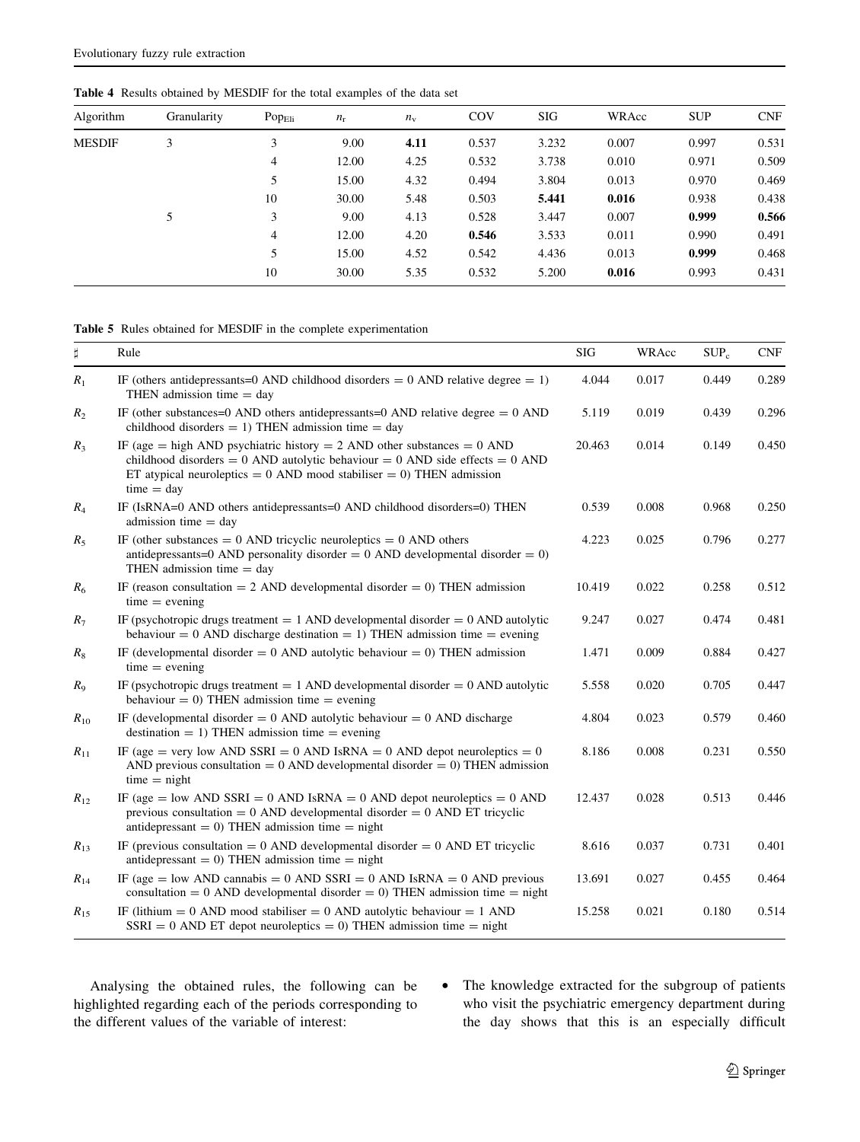<span id="page-10-0"></span>

|  |  |  | Table 4 Results obtained by MESDIF for the total examples of the data set |
|--|--|--|---------------------------------------------------------------------------|
|  |  |  |                                                                           |

| Algorithm     | Granularity | Pop <sub>Eli</sub> | $n_r$ | $n_{\rm v}$ | COV   | SIG   | WRAcc | <b>SUP</b> | <b>CNF</b> |
|---------------|-------------|--------------------|-------|-------------|-------|-------|-------|------------|------------|
| <b>MESDIF</b> | 3           | 3                  | 9.00  | 4.11        | 0.537 | 3.232 | 0.007 | 0.997      | 0.531      |
|               |             | 4                  | 12.00 | 4.25        | 0.532 | 3.738 | 0.010 | 0.971      | 0.509      |
|               |             | 5                  | 15.00 | 4.32        | 0.494 | 3.804 | 0.013 | 0.970      | 0.469      |
|               |             | 10                 | 30.00 | 5.48        | 0.503 | 5.441 | 0.016 | 0.938      | 0.438      |
|               | 5           | 3                  | 9.00  | 4.13        | 0.528 | 3.447 | 0.007 | 0.999      | 0.566      |
|               |             | $\overline{4}$     | 12.00 | 4.20        | 0.546 | 3.533 | 0.011 | 0.990      | 0.491      |
|               |             |                    | 15.00 | 4.52        | 0.542 | 4.436 | 0.013 | 0.999      | 0.468      |
|               |             | 10                 | 30.00 | 5.35        | 0.532 | 5.200 | 0.016 | 0.993      | 0.431      |

Table 5 Rules obtained for MESDIF in the complete experimentation

| Ħ,       | Rule                                                                                                                                                                                                                                                        | <b>SIG</b> | WRAcc | SUP <sub>c</sub> | <b>CNF</b> |
|----------|-------------------------------------------------------------------------------------------------------------------------------------------------------------------------------------------------------------------------------------------------------------|------------|-------|------------------|------------|
| $R_1$    | IF (others antidepressants=0 AND childhood disorders = 0 AND relative degree = 1)<br>THEN admission time $=$ day                                                                                                                                            | 4.044      | 0.017 | 0.449            | 0.289      |
| $R_2$    | IF (other substances=0 AND others antidepressants=0 AND relative degree $= 0$ AND<br>childhood disorders $= 1$ ) THEN admission time $=$ day                                                                                                                | 5.119      | 0.019 | 0.439            | 0.296      |
| $R_3$    | IF (age = high AND psychiatric history = $2$ AND other substances = $0$ AND<br>childhood disorders = $0$ AND autolytic behaviour = $0$ AND side effects = $0$ AND<br>ET atypical neuroleptics = $0$ AND mood stabiliser = 0) THEN admission<br>$time = day$ | 20.463     | 0.014 | 0.149            | 0.450      |
| $R_4$    | IF (IsRNA=0 AND others antidepressants=0 AND childhood disorders=0) THEN<br>admission time $=$ day                                                                                                                                                          | 0.539      | 0.008 | 0.968            | 0.250      |
| $R_5$    | IF (other substances $= 0$ AND tricyclic neuroleptics $= 0$ AND others<br>antidepressants=0 AND personality disorder = 0 AND developmental disorder = 0)<br>THEN admission time $=$ day                                                                     | 4.223      | 0.025 | 0.796            | 0.277      |
| $R_6$    | IF (reason consultation $= 2$ AND developmental disorder $= 0$ ) THEN admission<br>$time = evening$                                                                                                                                                         | 10.419     | 0.022 | 0.258            | 0.512      |
| $R_7$    | IF (psychotropic drugs treatment $= 1$ AND developmental disorder $= 0$ AND autolytic<br>behaviour = 0 AND discharge destination = 1) THEN admission time = evening                                                                                         | 9.247      | 0.027 | 0.474            | 0.481      |
| $R_8$    | IF (developmental disorder $= 0$ AND autolytic behaviour $= 0$ ) THEN admission<br>$time = evening$                                                                                                                                                         | 1.471      | 0.009 | 0.884            | 0.427      |
| $R_9$    | IF (psychotropic drugs treatment $= 1$ AND developmental disorder $= 0$ AND autolytic<br>behaviour = 0) THEN admission time = evening                                                                                                                       | 5.558      | 0.020 | 0.705            | 0.447      |
| $R_{10}$ | IF (developmental disorder $= 0$ AND autolytic behaviour $= 0$ AND discharge<br>destination $= 1$ ) THEN admission time $=$ evening                                                                                                                         | 4.804      | 0.023 | 0.579            | 0.460      |
| $R_{11}$ | IF (age = very low AND SSRI = 0 AND IsRNA = 0 AND depot neuroleptics = 0<br>AND previous consultation = $0$ AND developmental disorder = $0$ ) THEN admission<br>$time = night$                                                                             | 8.186      | 0.008 | 0.231            | 0.550      |
| $R_{12}$ | IF (age = low AND SSRI = 0 AND IsRNA = 0 AND depot neuroleptics = 0 AND<br>previous consultation = $0$ AND developmental disorder = $0$ AND ET tricyclic<br>antidepressant = 0) THEN admission time = night                                                 | 12.437     | 0.028 | 0.513            | 0.446      |
| $R_{13}$ | IF (previous consultation $= 0$ AND developmental disorder $= 0$ AND ET tricyclic<br>antidepressant $= 0$ ) THEN admission time $=$ night                                                                                                                   | 8.616      | 0.037 | 0.731            | 0.401      |
| $R_{14}$ | IF (age = low AND cannabis = 0 AND SSRI = 0 AND IsRNA = 0 AND previous<br>consultation = 0 AND developmental disorder = 0) THEN admission time = night                                                                                                      | 13.691     | 0.027 | 0.455            | 0.464      |
| $R_{15}$ | IF (lithium = $0$ AND mood stabiliser = $0$ AND autolytic behaviour = $1$ AND<br>$SSRI = 0$ AND ET depot neuroleptics = 0) THEN admission time = night                                                                                                      | 15.258     | 0.021 | 0.180            | 0.514      |

Analysing the obtained rules, the following can be highlighted regarding each of the periods corresponding to the different values of the variable of interest:

• The knowledge extracted for the subgroup of patients who visit the psychiatric emergency department during the day shows that this is an especially difficult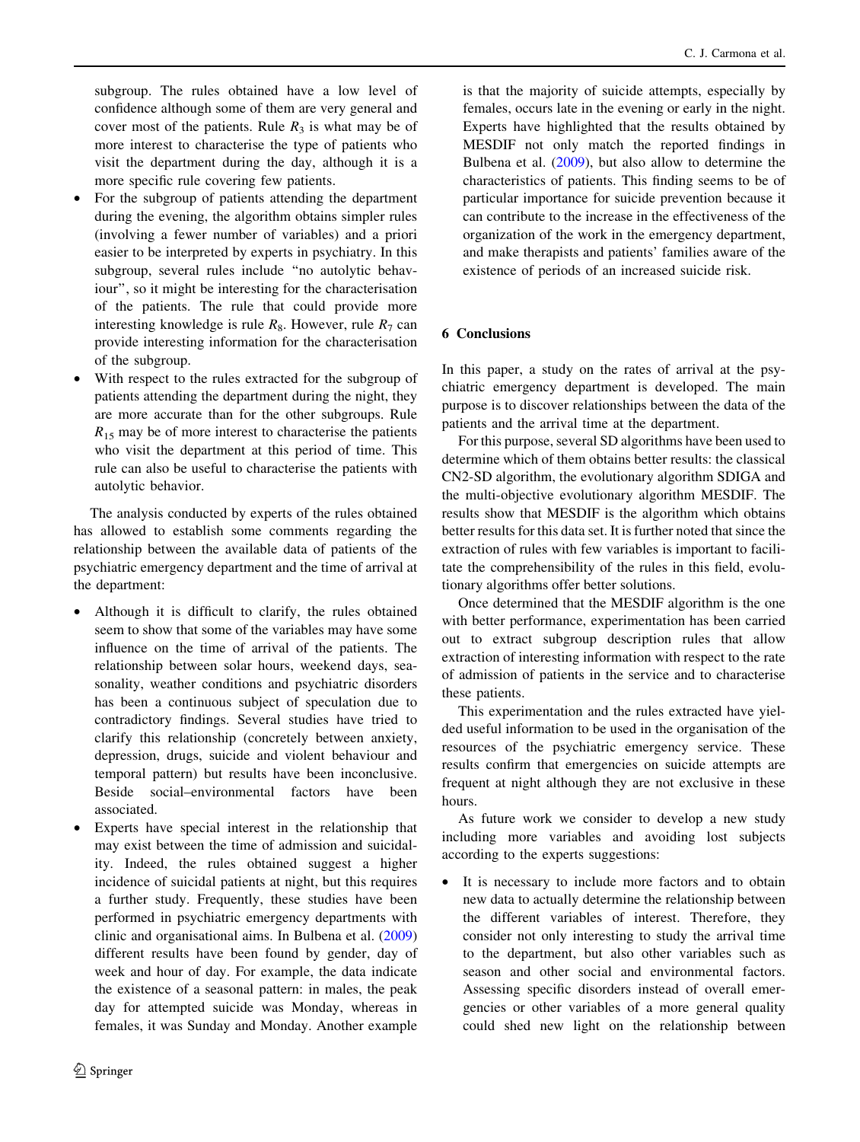<span id="page-11-0"></span>subgroup. The rules obtained have a low level of confidence although some of them are very general and cover most of the patients. Rule  $R_3$  is what may be of more interest to characterise the type of patients who visit the department during the day, although it is a more specific rule covering few patients.

- For the subgroup of patients attending the department during the evening, the algorithm obtains simpler rules (involving a fewer number of variables) and a priori easier to be interpreted by experts in psychiatry. In this subgroup, several rules include ''no autolytic behaviour'', so it might be interesting for the characterisation of the patients. The rule that could provide more interesting knowledge is rule  $R_8$ . However, rule  $R_7$  can provide interesting information for the characterisation of the subgroup.
- With respect to the rules extracted for the subgroup of patients attending the department during the night, they are more accurate than for the other subgroups. Rule  $R_{15}$  may be of more interest to characterise the patients who visit the department at this period of time. This rule can also be useful to characterise the patients with autolytic behavior.

The analysis conducted by experts of the rules obtained has allowed to establish some comments regarding the relationship between the available data of patients of the psychiatric emergency department and the time of arrival at the department:

- Although it is difficult to clarify, the rules obtained seem to show that some of the variables may have some influence on the time of arrival of the patients. The relationship between solar hours, weekend days, seasonality, weather conditions and psychiatric disorders has been a continuous subject of speculation due to contradictory findings. Several studies have tried to clarify this relationship (concretely between anxiety, depression, drugs, suicide and violent behaviour and temporal pattern) but results have been inconclusive. Beside social–environmental factors have been associated.
- Experts have special interest in the relationship that may exist between the time of admission and suicidality. Indeed, the rules obtained suggest a higher incidence of suicidal patients at night, but this requires a further study. Frequently, these studies have been performed in psychiatric emergency departments with clinic and organisational aims. In Bulbena et al. ([2009\)](#page-12-0) different results have been found by gender, day of week and hour of day. For example, the data indicate the existence of a seasonal pattern: in males, the peak day for attempted suicide was Monday, whereas in females, it was Sunday and Monday. Another example

is that the majority of suicide attempts, especially by females, occurs late in the evening or early in the night. Experts have highlighted that the results obtained by MESDIF not only match the reported findings in Bulbena et al. [\(2009](#page-12-0)), but also allow to determine the characteristics of patients. This finding seems to be of particular importance for suicide prevention because it can contribute to the increase in the effectiveness of the organization of the work in the emergency department, and make therapists and patients' families aware of the existence of periods of an increased suicide risk.

# 6 Conclusions

In this paper, a study on the rates of arrival at the psychiatric emergency department is developed. The main purpose is to discover relationships between the data of the patients and the arrival time at the department.

For this purpose, several SD algorithms have been used to determine which of them obtains better results: the classical CN2-SD algorithm, the evolutionary algorithm SDIGA and the multi-objective evolutionary algorithm MESDIF. The results show that MESDIF is the algorithm which obtains better results for this data set. It is further noted that since the extraction of rules with few variables is important to facilitate the comprehensibility of the rules in this field, evolutionary algorithms offer better solutions.

Once determined that the MESDIF algorithm is the one with better performance, experimentation has been carried out to extract subgroup description rules that allow extraction of interesting information with respect to the rate of admission of patients in the service and to characterise these patients.

This experimentation and the rules extracted have yielded useful information to be used in the organisation of the resources of the psychiatric emergency service. These results confirm that emergencies on suicide attempts are frequent at night although they are not exclusive in these hours.

As future work we consider to develop a new study including more variables and avoiding lost subjects according to the experts suggestions:

It is necessary to include more factors and to obtain new data to actually determine the relationship between the different variables of interest. Therefore, they consider not only interesting to study the arrival time to the department, but also other variables such as season and other social and environmental factors. Assessing specific disorders instead of overall emergencies or other variables of a more general quality could shed new light on the relationship between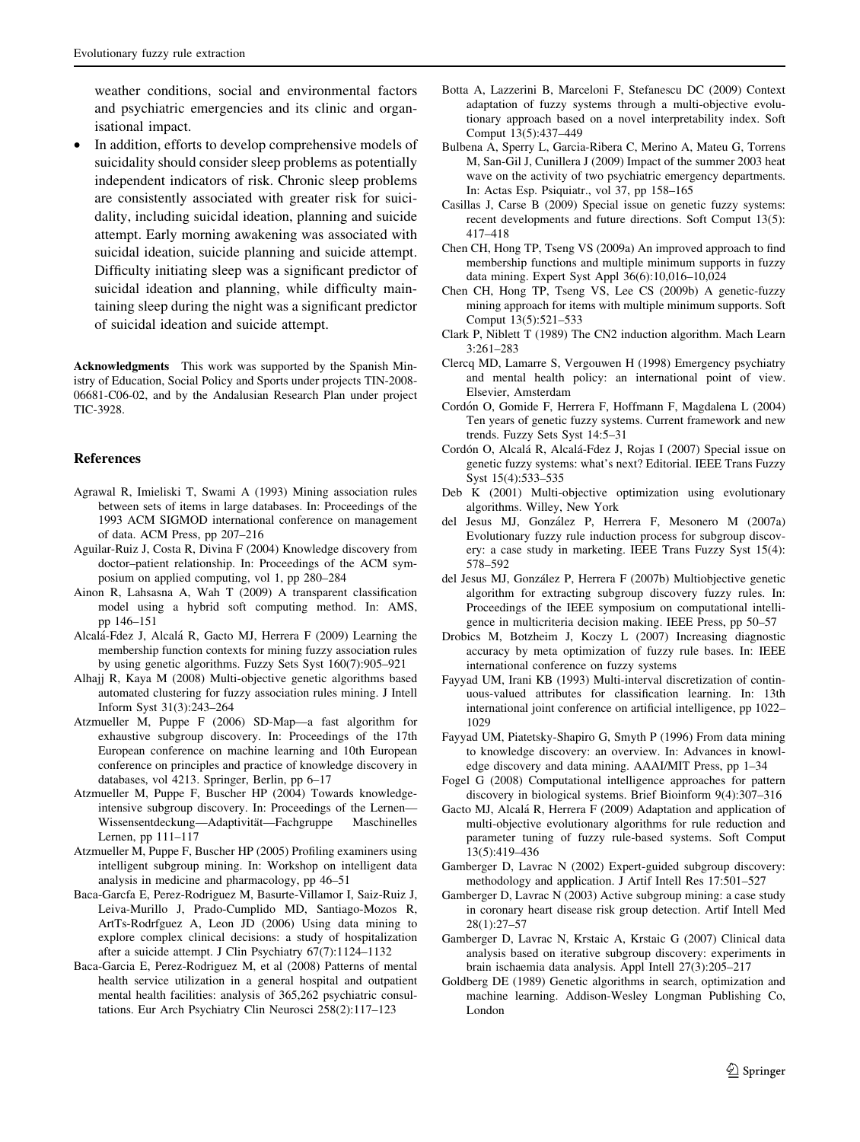<span id="page-12-0"></span>weather conditions, social and environmental factors and psychiatric emergencies and its clinic and organisational impact.

In addition, efforts to develop comprehensive models of suicidality should consider sleep problems as potentially independent indicators of risk. Chronic sleep problems are consistently associated with greater risk for suicidality, including suicidal ideation, planning and suicide attempt. Early morning awakening was associated with suicidal ideation, suicide planning and suicide attempt. Difficulty initiating sleep was a significant predictor of suicidal ideation and planning, while difficulty maintaining sleep during the night was a significant predictor of suicidal ideation and suicide attempt.

Acknowledgments This work was supported by the Spanish Ministry of Education, Social Policy and Sports under projects TIN-2008- 06681-C06-02, and by the Andalusian Research Plan under project TIC-3928.

#### References

- Agrawal R, Imieliski T, Swami A (1993) Mining association rules between sets of items in large databases. In: Proceedings of the 1993 ACM SIGMOD international conference on management of data. ACM Press, pp 207–216
- Aguilar-Ruiz J, Costa R, Divina F (2004) Knowledge discovery from doctor–patient relationship. In: Proceedings of the ACM symposium on applied computing, vol 1, pp 280–284
- Ainon R, Lahsasna A, Wah T (2009) A transparent classification model using a hybrid soft computing method. In: AMS, pp 146–151
- Alcala´-Fdez J, Alcala´ R, Gacto MJ, Herrera F (2009) Learning the membership function contexts for mining fuzzy association rules by using genetic algorithms. Fuzzy Sets Syst 160(7):905–921
- Alhajj R, Kaya M (2008) Multi-objective genetic algorithms based automated clustering for fuzzy association rules mining. J Intell Inform Syst 31(3):243–264
- Atzmueller M, Puppe F (2006) SD-Map—a fast algorithm for exhaustive subgroup discovery. In: Proceedings of the 17th European conference on machine learning and 10th European conference on principles and practice of knowledge discovery in databases, vol 4213. Springer, Berlin, pp 6–17
- Atzmueller M, Puppe F, Buscher HP (2004) Towards knowledgeintensive subgroup discovery. In: Proceedings of the Lernen— Wissensentdeckung—Adaptivität—Fachgruppe Maschinelles Lernen, pp 111–117
- Atzmueller M, Puppe F, Buscher HP (2005) Profiling examiners using intelligent subgroup mining. In: Workshop on intelligent data analysis in medicine and pharmacology, pp 46–51
- Baca-Garcfa E, Perez-Rodriguez M, Basurte-Villamor I, Saiz-Ruiz J, Leiva-Murillo J, Prado-Cumplido MD, Santiago-Mozos R, ArtTs-Rodrfguez A, Leon JD (2006) Using data mining to explore complex clinical decisions: a study of hospitalization after a suicide attempt. J Clin Psychiatry 67(7):1124–1132
- Baca-Garcia E, Perez-Rodriguez M, et al (2008) Patterns of mental health service utilization in a general hospital and outpatient mental health facilities: analysis of 365,262 psychiatric consultations. Eur Arch Psychiatry Clin Neurosci 258(2):117–123
- Botta A, Lazzerini B, Marceloni F, Stefanescu DC (2009) Context adaptation of fuzzy systems through a multi-objective evolutionary approach based on a novel interpretability index. Soft Comput 13(5):437–449
- Bulbena A, Sperry L, Garcia-Ribera C, Merino A, Mateu G, Torrens M, San-Gil J, Cunillera J (2009) Impact of the summer 2003 heat wave on the activity of two psychiatric emergency departments. In: Actas Esp. Psiquiatr., vol 37, pp 158–165
- Casillas J, Carse B (2009) Special issue on genetic fuzzy systems: recent developments and future directions. Soft Comput 13(5): 417–418
- Chen CH, Hong TP, Tseng VS (2009a) An improved approach to find membership functions and multiple minimum supports in fuzzy data mining. Expert Syst Appl 36(6):10,016–10,024
- Chen CH, Hong TP, Tseng VS, Lee CS (2009b) A genetic-fuzzy mining approach for items with multiple minimum supports. Soft Comput 13(5):521–533
- Clark P, Niblett T (1989) The CN2 induction algorithm. Mach Learn 3:261–283
- Clercq MD, Lamarre S, Vergouwen H (1998) Emergency psychiatry and mental health policy: an international point of view. Elsevier, Amsterdam
- Cordón O, Gomide F, Herrera F, Hoffmann F, Magdalena L (2004) Ten years of genetic fuzzy systems. Current framework and new trends. Fuzzy Sets Syst 14:5–31
- Cordón O, Alcalá R, Alcalá-Fdez J, Rojas I (2007) Special issue on genetic fuzzy systems: what's next? Editorial. IEEE Trans Fuzzy Syst 15(4):533–535
- Deb K (2001) Multi-objective optimization using evolutionary algorithms. Willey, New York
- del Jesus MJ, González P, Herrera F, Mesonero M (2007a) Evolutionary fuzzy rule induction process for subgroup discovery: a case study in marketing. IEEE Trans Fuzzy Syst 15(4): 578–592
- del Jesus MJ, González P, Herrera F (2007b) Multiobjective genetic algorithm for extracting subgroup discovery fuzzy rules. In: Proceedings of the IEEE symposium on computational intelligence in multicriteria decision making. IEEE Press, pp 50–57
- Drobics M, Botzheim J, Koczy L (2007) Increasing diagnostic accuracy by meta optimization of fuzzy rule bases. In: IEEE international conference on fuzzy systems
- Fayyad UM, Irani KB (1993) Multi-interval discretization of continuous-valued attributes for classification learning. In: 13th international joint conference on artificial intelligence, pp 1022– 1029
- Fayyad UM, Piatetsky-Shapiro G, Smyth P (1996) From data mining to knowledge discovery: an overview. In: Advances in knowledge discovery and data mining. AAAI/MIT Press, pp 1–34
- Fogel G (2008) Computational intelligence approaches for pattern discovery in biological systems. Brief Bioinform 9(4):307–316
- Gacto MJ, Alcalá R, Herrera F (2009) Adaptation and application of multi-objective evolutionary algorithms for rule reduction and parameter tuning of fuzzy rule-based systems. Soft Comput 13(5):419–436
- Gamberger D, Lavrac N (2002) Expert-guided subgroup discovery: methodology and application. J Artif Intell Res 17:501–527
- Gamberger D, Lavrac N (2003) Active subgroup mining: a case study in coronary heart disease risk group detection. Artif Intell Med 28(1):27–57
- Gamberger D, Lavrac N, Krstaic A, Krstaic G (2007) Clinical data analysis based on iterative subgroup discovery: experiments in brain ischaemia data analysis. Appl Intell 27(3):205–217
- Goldberg DE (1989) Genetic algorithms in search, optimization and machine learning. Addison-Wesley Longman Publishing Co, London